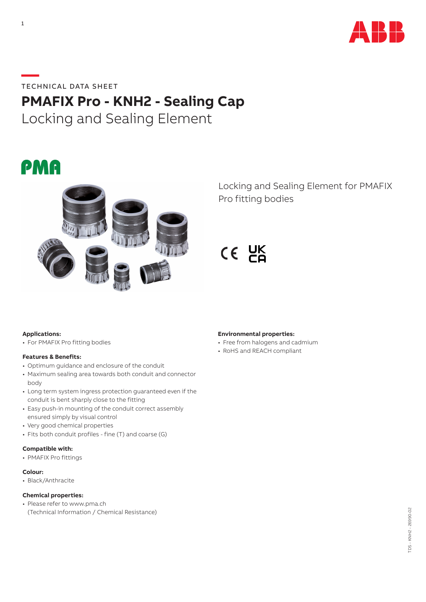

## **—**TECHNICAL DATA SHEET

# **PMAFIX Pro - KNH2 - Sealing Cap**

Locking and Sealing Element

# PMA



Locking and Sealing Element for PMAFIX Pro fitting bodies

 $CE$   $E$ 

### **Applications:**

• For PMAFIX Pro fitting bodies

#### **Features & Benefits:**

- Optimum guidance and enclosure of the conduit
- Maximum sealing area towards both conduit and connector body
- Long term system ingress protection guaranteed even if the conduit is bent sharply close to the fitting
- Easy push-in mounting of the conduit correct assembly ensured simply by visual control
- Very good chemical properties
- Fits both conduit profiles fine (T) and coarse (G)

#### **Compatible with:**

• PMAFIX Pro fittings

#### **Colour:**

• Black/Anthracite

### **Chemical properties:**

• Please refer to www.pma.ch (Technical Information / Chemical Resistance)

#### **Environmental properties:**

- Free from halogens and cadmium
- RoHS and REACH compliant